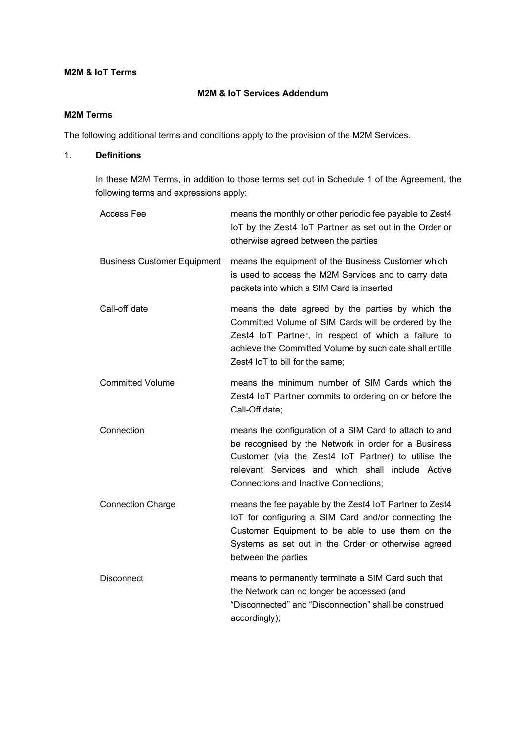#### **M2M & IoT Terms**

# **M2M & IoT Services Addendum**

## **M2M Terms**

The following additional terms and conditions apply to the provision of the M2M Services.

## 1. **Definitions**

In these M2M Terms, in addition to those terms set out in Schedule 1 of the Agreement, the following terms and expressions apply:

| <b>Access Fee</b>                  | means the monthly or other periodic fee payable to Zest4<br>IoT by the Zest4 IoT Partner as set out in the Order or<br>otherwise agreed between the parties                                                                                                        |
|------------------------------------|--------------------------------------------------------------------------------------------------------------------------------------------------------------------------------------------------------------------------------------------------------------------|
| <b>Business Customer Equipment</b> | means the equipment of the Business Customer which<br>is used to access the M2M Services and to carry data<br>packets into which a SIM Card is inserted                                                                                                            |
| Call-off date                      | means the date agreed by the parties by which the<br>Committed Volume of SIM Cards will be ordered by the<br>Zest4 IoT Partner, in respect of which a failure to<br>achieve the Committed Volume by such date shall entitle<br>Zest4 IoT to bill for the same;     |
| <b>Committed Volume</b>            | means the minimum number of SIM Cards which the<br>Zest4 IoT Partner commits to ordering on or before the<br>Call-Off date;                                                                                                                                        |
| Connection                         | means the configuration of a SIM Card to attach to and<br>be recognised by the Network in order for a Business<br>Customer (via the Zest4 IoT Partner) to utilise the<br>relevant Services and which shall include Active<br>Connections and Inactive Connections; |
| <b>Connection Charge</b>           | means the fee payable by the Zest4 IoT Partner to Zest4<br>IoT for configuring a SIM Card and/or connecting the<br>Customer Equipment to be able to use them on the<br>Systems as set out in the Order or otherwise agreed<br>between the parties                  |
| <b>Disconnect</b>                  | means to permanently terminate a SIM Card such that<br>the Network can no longer be accessed (and<br>"Disconnected" and "Disconnection" shall be construed<br>accordingly);                                                                                        |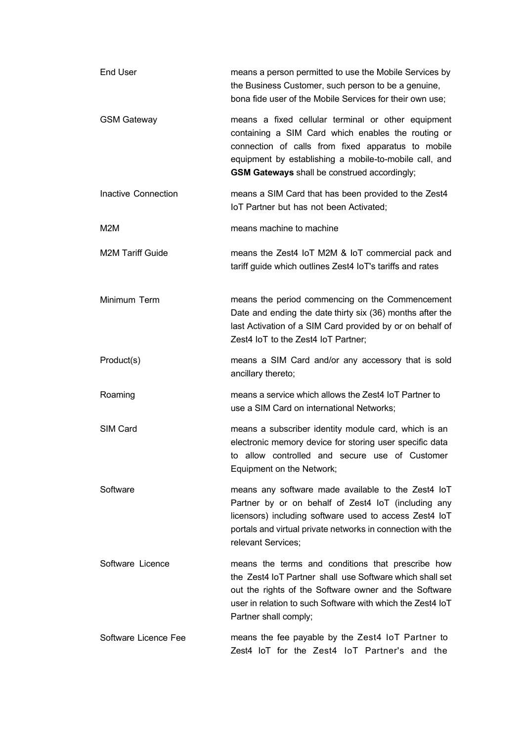| End User                | means a person permitted to use the Mobile Services by<br>the Business Customer, such person to be a genuine,<br>bona fide user of the Mobile Services for their own use;                                                                                                |
|-------------------------|--------------------------------------------------------------------------------------------------------------------------------------------------------------------------------------------------------------------------------------------------------------------------|
| <b>GSM Gateway</b>      | means a fixed cellular terminal or other equipment<br>containing a SIM Card which enables the routing or<br>connection of calls from fixed apparatus to mobile<br>equipment by establishing a mobile-to-mobile call, and<br>GSM Gateways shall be construed accordingly; |
| Inactive Connection     | means a SIM Card that has been provided to the Zest4<br>IoT Partner but has not been Activated;                                                                                                                                                                          |
| M2M                     | means machine to machine                                                                                                                                                                                                                                                 |
| <b>M2M Tariff Guide</b> | means the Zest4 IoT M2M & IoT commercial pack and<br>tariff guide which outlines Zest4 IoT's tariffs and rates                                                                                                                                                           |
| Minimum Term            | means the period commencing on the Commencement<br>Date and ending the date thirty six (36) months after the<br>last Activation of a SIM Card provided by or on behalf of<br>Zest4 IoT to the Zest4 IoT Partner;                                                         |
| Product(s)              | means a SIM Card and/or any accessory that is sold<br>ancillary thereto;                                                                                                                                                                                                 |
| Roaming                 | means a service which allows the Zest4 IoT Partner to<br>use a SIM Card on international Networks;                                                                                                                                                                       |
| SIM Card                | means a subscriber identity module card, which is an<br>electronic memory device for storing user specific data<br>to allow controlled and secure use of Customer<br>Equipment on the Network;                                                                           |
| Software                | means any software made available to the Zest4 loT<br>Partner by or on behalf of Zest4 IoT (including any<br>licensors) including software used to access Zest4 loT<br>portals and virtual private networks in connection with the<br>relevant Services;                 |
| Software Licence        | means the terms and conditions that prescribe how<br>the Zest4 IoT Partner shall use Software which shall set<br>out the rights of the Software owner and the Software<br>user in relation to such Software with which the Zest4 IoT<br>Partner shall comply;            |
| Software Licence Fee    | means the fee payable by the Zest4 IoT Partner to<br>Zest4 IoT for the Zest4 IoT Partner's and the                                                                                                                                                                       |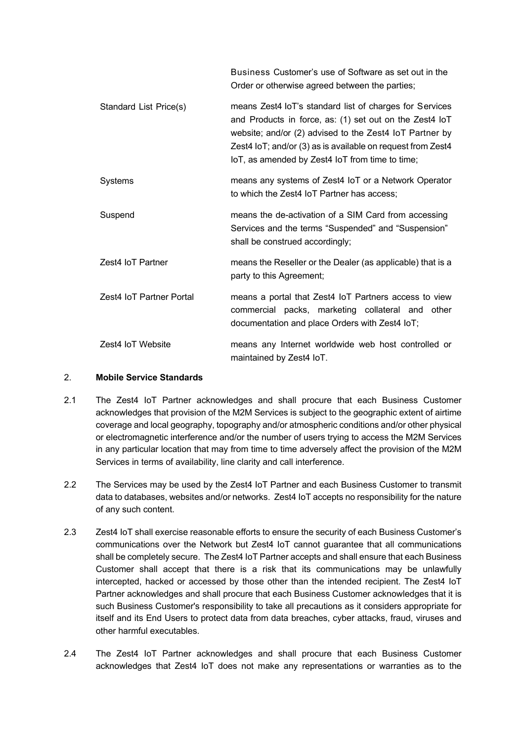|                          | Business Customer's use of Software as set out in the<br>Order or otherwise agreed between the parties;                                                                                                                                                                                         |
|--------------------------|-------------------------------------------------------------------------------------------------------------------------------------------------------------------------------------------------------------------------------------------------------------------------------------------------|
| Standard List Price(s)   | means Zest4 IoT's standard list of charges for Services<br>and Products in force, as: (1) set out on the Zest4 loT<br>website; and/or (2) advised to the Zest4 IoT Partner by<br>Zest4 loT; and/or (3) as is available on request from Zest4<br>IoT, as amended by Zest4 IoT from time to time; |
| Systems                  | means any systems of Zest4 IoT or a Network Operator<br>to which the Zest4 IoT Partner has access:                                                                                                                                                                                              |
| Suspend                  | means the de-activation of a SIM Card from accessing<br>Services and the terms "Suspended" and "Suspension"<br>shall be construed accordingly;                                                                                                                                                  |
| Zest4 IoT Partner        | means the Reseller or the Dealer (as applicable) that is a<br>party to this Agreement;                                                                                                                                                                                                          |
| Zest4 IoT Partner Portal | means a portal that Zest4 IoT Partners access to view<br>commercial packs, marketing collateral and other<br>documentation and place Orders with Zest4 IoT;                                                                                                                                     |
| Zest4 IoT Website        | means any Internet worldwide web host controlled or<br>maintained by Zest4 IoT.                                                                                                                                                                                                                 |

### 2. **Mobile Service Standards**

- 2.1 The Zest4 IoT Partner acknowledges and shall procure that each Business Customer acknowledges that provision of the M2M Services is subject to the geographic extent of airtime coverage and local geography, topography and/or atmospheric conditions and/or other physical or electromagnetic interference and/or the number of users trying to access the M2M Services in any particular location that may from time to time adversely affect the provision of the M2M Services in terms of availability, line clarity and call interference.
- 2.2 The Services may be used by the Zest4 IoT Partner and each Business Customer to transmit data to databases, websites and/or networks. Zest4 IoT accepts no responsibility for the nature of any such content.
- 2.3 Zest4 IoT shall exercise reasonable efforts to ensure the security of each Business Customer's communications over the Network but Zest4 IoT cannot guarantee that all communications shall be completely secure. The Zest4 IoT Partner accepts and shall ensure that each Business Customer shall accept that there is a risk that its communications may be unlawfully intercepted, hacked or accessed by those other than the intended recipient. The Zest4 IoT Partner acknowledges and shall procure that each Business Customer acknowledges that it is such Business Customer's responsibility to take all precautions as it considers appropriate for itself and its End Users to protect data from data breaches, cyber attacks, fraud, viruses and other harmful executables.
- 2.4 The Zest4 IoT Partner acknowledges and shall procure that each Business Customer acknowledges that Zest4 IoT does not make any representations or warranties as to the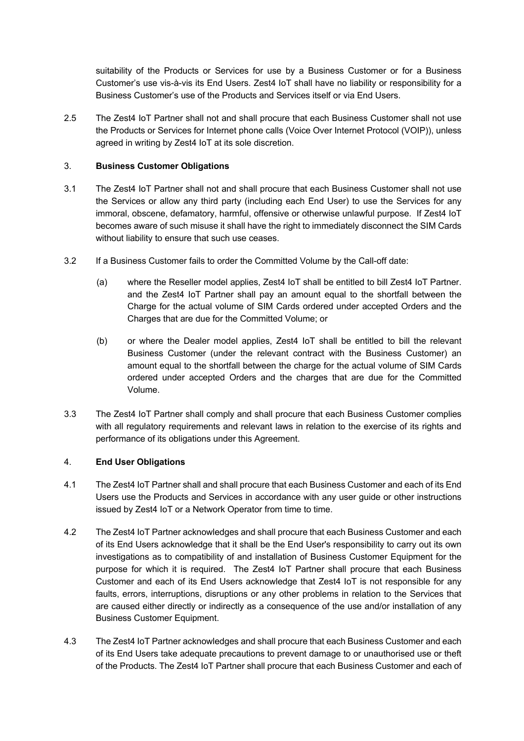suitability of the Products or Services for use by a Business Customer or for a Business Customer's use vis-à-vis its End Users. Zest4 IoT shall have no liability or responsibility for a Business Customer's use of the Products and Services itself or via End Users.

2.5 The Zest4 IoT Partner shall not and shall procure that each Business Customer shall not use the Products or Services for Internet phone calls (Voice Over Internet Protocol (VOIP)), unless agreed in writing by Zest4 IoT at its sole discretion.

## 3. **Business Customer Obligations**

- 3.1 The Zest4 IoT Partner shall not and shall procure that each Business Customer shall not use the Services or allow any third party (including each End User) to use the Services for any immoral, obscene, defamatory, harmful, offensive or otherwise unlawful purpose. If Zest4 IoT becomes aware of such misuse it shall have the right to immediately disconnect the SIM Cards without liability to ensure that such use ceases.
- 3.2 If a Business Customer fails to order the Committed Volume by the Call-off date:
	- (a) where the Reseller model applies, Zest4 IoT shall be entitled to bill Zest4 IoT Partner. and the Zest4 IoT Partner shall pay an amount equal to the shortfall between the Charge for the actual volume of SIM Cards ordered under accepted Orders and the Charges that are due for the Committed Volume; or
	- (b) or where the Dealer model applies, Zest4 IoT shall be entitled to bill the relevant Business Customer (under the relevant contract with the Business Customer) an amount equal to the shortfall between the charge for the actual volume of SIM Cards ordered under accepted Orders and the charges that are due for the Committed Volume.
- 3.3 The Zest4 IoT Partner shall comply and shall procure that each Business Customer complies with all regulatory requirements and relevant laws in relation to the exercise of its rights and performance of its obligations under this Agreement.

# 4. **End User Obligations**

- 4.1 The Zest4 IoT Partner shall and shall procure that each Business Customer and each of its End Users use the Products and Services in accordance with any user guide or other instructions issued by Zest4 IoT or a Network Operator from time to time.
- 4.2 The Zest4 IoT Partner acknowledges and shall procure that each Business Customer and each of its End Users acknowledge that it shall be the End User's responsibility to carry out its own investigations as to compatibility of and installation of Business Customer Equipment for the purpose for which it is required. The Zest4 IoT Partner shall procure that each Business Customer and each of its End Users acknowledge that Zest4 IoT is not responsible for any faults, errors, interruptions, disruptions or any other problems in relation to the Services that are caused either directly or indirectly as a consequence of the use and/or installation of any Business Customer Equipment.
- 4.3 The Zest4 IoT Partner acknowledges and shall procure that each Business Customer and each of its End Users take adequate precautions to prevent damage to or unauthorised use or theft of the Products. The Zest4 IoT Partner shall procure that each Business Customer and each of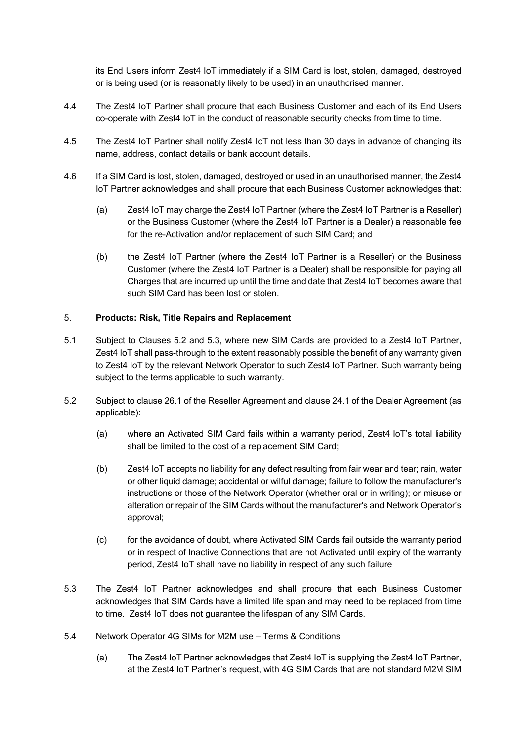its End Users inform Zest4 IoT immediately if a SIM Card is lost, stolen, damaged, destroyed or is being used (or is reasonably likely to be used) in an unauthorised manner.

- 4.4 The Zest4 IoT Partner shall procure that each Business Customer and each of its End Users co-operate with Zest4 IoT in the conduct of reasonable security checks from time to time.
- 4.5 The Zest4 IoT Partner shall notify Zest4 IoT not less than 30 days in advance of changing its name, address, contact details or bank account details.
- 4.6 If a SIM Card is lost, stolen, damaged, destroyed or used in an unauthorised manner, the Zest4 IoT Partner acknowledges and shall procure that each Business Customer acknowledges that:
	- (a) Zest4 IoT may charge the Zest4 IoT Partner (where the Zest4 IoT Partner is a Reseller) or the Business Customer (where the Zest4 IoT Partner is a Dealer) a reasonable fee for the re-Activation and/or replacement of such SIM Card; and
	- (b) the Zest4 IoT Partner (where the Zest4 IoT Partner is a Reseller) or the Business Customer (where the Zest4 IoT Partner is a Dealer) shall be responsible for paying all Charges that are incurred up until the time and date that Zest4 IoT becomes aware that such SIM Card has been lost or stolen.

### 5. **Products: Risk, Title Repairs and Replacement**

- 5.1 Subject to Clauses 5.2 and 5.3, where new SIM Cards are provided to a Zest4 IoT Partner, Zest4 IoT shall pass-through to the extent reasonably possible the benefit of any warranty given to Zest4 IoT by the relevant Network Operator to such Zest4 IoT Partner. Such warranty being subject to the terms applicable to such warranty.
- 5.2 Subject to clause 26.1 of the Reseller Agreement and clause 24.1 of the Dealer Agreement (as applicable):
	- (a) where an Activated SIM Card fails within a warranty period, Zest4 IoT's total liability shall be limited to the cost of a replacement SIM Card;
	- (b) Zest4 IoT accepts no liability for any defect resulting from fair wear and tear; rain, water or other liquid damage; accidental or wilful damage; failure to follow the manufacturer's instructions or those of the Network Operator (whether oral or in writing); or misuse or alteration or repair of the SIM Cards without the manufacturer's and Network Operator's approval;
	- (c) for the avoidance of doubt, where Activated SIM Cards fail outside the warranty period or in respect of Inactive Connections that are not Activated until expiry of the warranty period, Zest4 IoT shall have no liability in respect of any such failure.
- 5.3 The Zest4 IoT Partner acknowledges and shall procure that each Business Customer acknowledges that SIM Cards have a limited life span and may need to be replaced from time to time. Zest4 IoT does not guarantee the lifespan of any SIM Cards.
- 5.4 Network Operator 4G SIMs for M2M use Terms & Conditions
	- (a) The Zest4 IoT Partner acknowledges that Zest4 IoT is supplying the Zest4 IoT Partner, at the Zest4 IoT Partner's request, with 4G SIM Cards that are not standard M2M SIM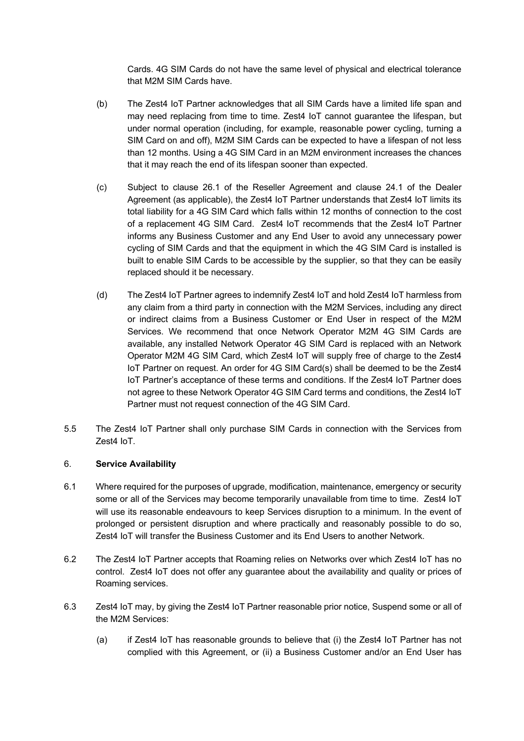Cards. 4G SIM Cards do not have the same level of physical and electrical tolerance that M2M SIM Cards have.

- (b) The Zest4 IoT Partner acknowledges that all SIM Cards have a limited life span and may need replacing from time to time. Zest4 IoT cannot guarantee the lifespan, but under normal operation (including, for example, reasonable power cycling, turning a SIM Card on and off), M2M SIM Cards can be expected to have a lifespan of not less than 12 months. Using a 4G SIM Card in an M2M environment increases the chances that it may reach the end of its lifespan sooner than expected.
- (c) Subject to clause 26.1 of the Reseller Agreement and clause 24.1 of the Dealer Agreement (as applicable), the Zest4 IoT Partner understands that Zest4 IoT limits its total liability for a 4G SIM Card which falls within 12 months of connection to the cost of a replacement 4G SIM Card. Zest4 IoT recommends that the Zest4 IoT Partner informs any Business Customer and any End User to avoid any unnecessary power cycling of SIM Cards and that the equipment in which the 4G SIM Card is installed is built to enable SIM Cards to be accessible by the supplier, so that they can be easily replaced should it be necessary.
- (d) The Zest4 IoT Partner agrees to indemnify Zest4 IoT and hold Zest4 IoT harmless from any claim from a third party in connection with the M2M Services, including any direct or indirect claims from a Business Customer or End User in respect of the M2M Services. We recommend that once Network Operator M2M 4G SIM Cards are available, any installed Network Operator 4G SIM Card is replaced with an Network Operator M2M 4G SIM Card, which Zest4 IoT will supply free of charge to the Zest4 IoT Partner on request. An order for 4G SIM Card(s) shall be deemed to be the Zest4 IoT Partner's acceptance of these terms and conditions. If the Zest4 IoT Partner does not agree to these Network Operator 4G SIM Card terms and conditions, the Zest4 IoT Partner must not request connection of the 4G SIM Card.
- 5.5 The Zest4 IoT Partner shall only purchase SIM Cards in connection with the Services from Zest4 IoT.

### 6. **Service Availability**

- 6.1 Where required for the purposes of upgrade, modification, maintenance, emergency or security some or all of the Services may become temporarily unavailable from time to time. Zest4 IoT will use its reasonable endeavours to keep Services disruption to a minimum. In the event of prolonged or persistent disruption and where practically and reasonably possible to do so, Zest4 IoT will transfer the Business Customer and its End Users to another Network.
- 6.2 The Zest4 IoT Partner accepts that Roaming relies on Networks over which Zest4 IoT has no control. Zest4 IoT does not offer any guarantee about the availability and quality or prices of Roaming services.
- 6.3 Zest4 IoT may, by giving the Zest4 IoT Partner reasonable prior notice, Suspend some or all of the M2M Services:
	- (a) if Zest4 IoT has reasonable grounds to believe that (i) the Zest4 IoT Partner has not complied with this Agreement, or (ii) a Business Customer and/or an End User has